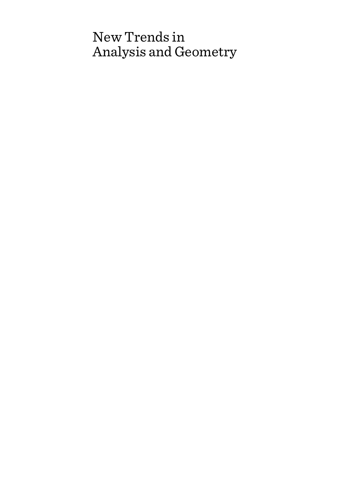# New Trends in Analysis and Geometry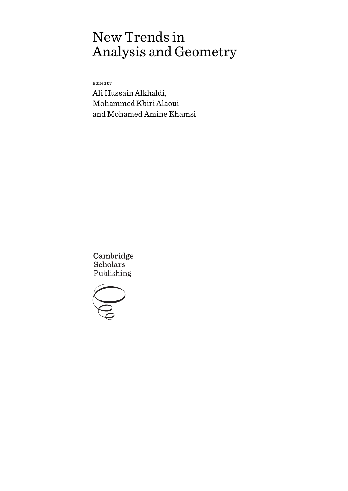# New Trends in Analysis and Geometry

Edited by

Ali Hussain Alkhaldi, Mohammed Kbiri Alaoui and Mohamed Amine Khamsi

Cambridge **Scholars** Publishing

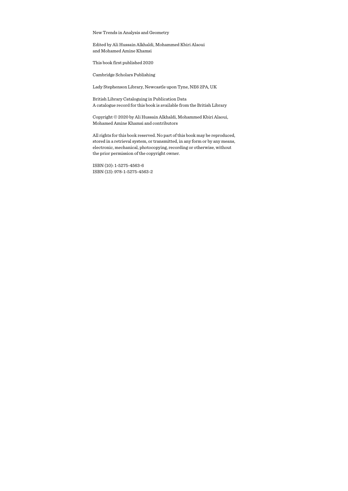New Trends in Analysis and Geometry

Edited by Ali Hussain Alkhaldi, Mohammed Kbiri Alaoui and Mohamed Amine Khamsi

This book first published 2020

Cambridge Scholars Publishing

Lady Stephenson Library, Newcastle upon Tyne, NE6 2PA, UK

British Library Cataloguing in Publication Data A catalogue record for this book is available from the British Library

Copyright © 2020 by Ali Hussain Alkhaldi, Mohammed Kbiri Alaoui, Mohamed Amine Khamsi and contributors

All rights for this book reserved. No part of this book may be reproduced, stored in a retrieval system, or transmitted, in any form or by any means, electronic, mechanical, photocopying, recording or otherwise, without the prior permission of the copyright owner.

ISBN (10): 1-5275-4563-6 ISBN (13): 978-1-5275-4563-2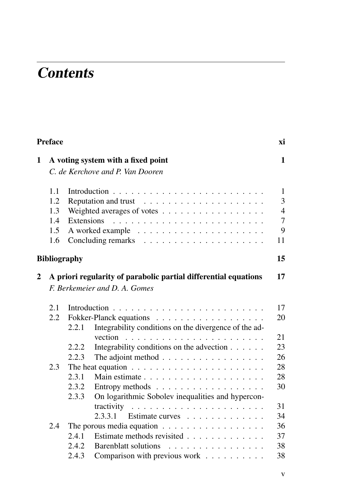# **Contents**

|                               | <b>Preface</b> |                     |                                                                                                                                                                                                                                                                                                                                                                                                                                                             |                |  |
|-------------------------------|----------------|---------------------|-------------------------------------------------------------------------------------------------------------------------------------------------------------------------------------------------------------------------------------------------------------------------------------------------------------------------------------------------------------------------------------------------------------------------------------------------------------|----------------|--|
| 1                             |                |                     | A voting system with a fixed point                                                                                                                                                                                                                                                                                                                                                                                                                          | 1              |  |
|                               |                |                     | C. de Kerchove and P. Van Dooren                                                                                                                                                                                                                                                                                                                                                                                                                            |                |  |
|                               | 1.1            |                     |                                                                                                                                                                                                                                                                                                                                                                                                                                                             | $\mathbf{1}$   |  |
|                               | 1.2.           |                     |                                                                                                                                                                                                                                                                                                                                                                                                                                                             | 3              |  |
|                               | 1.3            |                     | Weighted averages of votes                                                                                                                                                                                                                                                                                                                                                                                                                                  | $\overline{4}$ |  |
|                               | 1.4            | Extensions          | $\mathcal{L}(\mathcal{L}(\mathcal{L},\mathcal{L},\mathcal{L},\mathcal{L},\mathcal{L},\mathcal{L},\mathcal{L},\mathcal{L},\mathcal{L},\mathcal{L},\mathcal{L},\mathcal{L},\mathcal{L},\mathcal{L},\mathcal{L},\mathcal{L},\mathcal{L},\mathcal{L},\mathcal{L},\mathcal{L},\mathcal{L},\mathcal{L},\mathcal{L},\mathcal{L},\mathcal{L},\mathcal{L},\mathcal{L},\mathcal{L},\mathcal{L},\mathcal{L},\mathcal{L},\mathcal{L},\mathcal{L},\mathcal{L},\mathcal{$ | $\overline{7}$ |  |
|                               | 1.5            |                     |                                                                                                                                                                                                                                                                                                                                                                                                                                                             | 9              |  |
|                               | 1.6            |                     |                                                                                                                                                                                                                                                                                                                                                                                                                                                             | 11             |  |
|                               |                | <b>Bibliography</b> |                                                                                                                                                                                                                                                                                                                                                                                                                                                             | 15             |  |
| 2                             |                |                     | A priori regularity of parabolic partial differential equations                                                                                                                                                                                                                                                                                                                                                                                             | 17             |  |
| F. Berkemeier and D. A. Gomes |                |                     |                                                                                                                                                                                                                                                                                                                                                                                                                                                             |                |  |
|                               | 2.1            |                     |                                                                                                                                                                                                                                                                                                                                                                                                                                                             | 17             |  |
|                               | 2.2            |                     |                                                                                                                                                                                                                                                                                                                                                                                                                                                             | 20             |  |
|                               |                | 2.2.1               | Integrability conditions on the divergence of the ad-                                                                                                                                                                                                                                                                                                                                                                                                       |                |  |
|                               |                |                     |                                                                                                                                                                                                                                                                                                                                                                                                                                                             | 21             |  |
|                               |                | 2.2.2               | Integrability conditions on the advection                                                                                                                                                                                                                                                                                                                                                                                                                   | 23             |  |
|                               |                | 2.2.3               | The adjoint method $\ldots \ldots \ldots \ldots \ldots$                                                                                                                                                                                                                                                                                                                                                                                                     | 26             |  |
|                               | 2.3            |                     | The heat equation $\ldots \ldots \ldots \ldots \ldots \ldots \ldots$                                                                                                                                                                                                                                                                                                                                                                                        | 28             |  |
|                               |                | 2.3.1               |                                                                                                                                                                                                                                                                                                                                                                                                                                                             | 28             |  |
|                               |                | 2.3.2               | Entropy methods $\ldots \ldots \ldots \ldots \ldots \ldots$                                                                                                                                                                                                                                                                                                                                                                                                 | 30             |  |
|                               |                | 2.3.3               | On logarithmic Sobolev inequalities and hypercon-                                                                                                                                                                                                                                                                                                                                                                                                           |                |  |
|                               |                |                     |                                                                                                                                                                                                                                                                                                                                                                                                                                                             | 31             |  |
|                               |                |                     | 2.3.3.1<br>Estimate curves                                                                                                                                                                                                                                                                                                                                                                                                                                  | 34             |  |
|                               | 2.4            |                     | The porous media equation $\ldots \ldots \ldots \ldots \ldots \ldots$                                                                                                                                                                                                                                                                                                                                                                                       | 36             |  |
|                               |                | 2.4.1               | Estimate methods revisited                                                                                                                                                                                                                                                                                                                                                                                                                                  | 37             |  |
|                               |                | 2.4.2               | Barenblatt solutions<br>.                                                                                                                                                                                                                                                                                                                                                                                                                                   | 38             |  |
|                               |                | 2.4.3               | Comparison with previous work $\dots \dots \dots$                                                                                                                                                                                                                                                                                                                                                                                                           | 38             |  |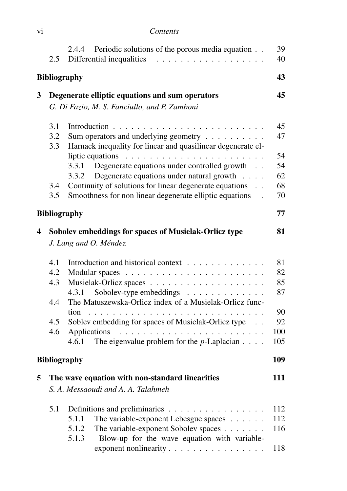| V1 | Contents |
|----|----------|
|    |          |

|   | 2.5                                    | Periodic solutions of the porous media equation<br>2.4.4<br>Differential inequalities<br>.                                                                                                                                                                                                                         | 39<br>40                                              |
|---|----------------------------------------|--------------------------------------------------------------------------------------------------------------------------------------------------------------------------------------------------------------------------------------------------------------------------------------------------------------------|-------------------------------------------------------|
|   |                                        | <b>Bibliography</b>                                                                                                                                                                                                                                                                                                | 43                                                    |
| 3 |                                        | Degenerate elliptic equations and sum operators<br>G. Di Fazio, M. S. Fanciullo, and P. Zamboni                                                                                                                                                                                                                    | 45                                                    |
|   | 3.1<br>3.2<br>3.3                      | Sum operators and underlying geometry $\dots \dots \dots$<br>Harnack inequality for linear and quasilinear degenerate el-                                                                                                                                                                                          | 45<br>47                                              |
|   | 3.4<br>3.5                             | liptic equations $\ldots \ldots \ldots \ldots \ldots \ldots \ldots$<br>Degenerate equations under controlled growth<br>3.3.1<br>3.3.2<br>Degenerate equations under natural growth<br>Continuity of solutions for linear degenerate equations<br>$\sim$<br>Smoothness for non linear degenerate elliptic equations | 54<br>54<br>62<br>68<br>70                            |
|   |                                        | <b>Bibliography</b>                                                                                                                                                                                                                                                                                                | 77                                                    |
| 4 |                                        | Sobolev embeddings for spaces of Musielak-Orlicz type<br>J. Lang and O. Méndez                                                                                                                                                                                                                                     | 81                                                    |
|   | 4.1<br>4.2<br>4.3<br>4.4<br>4.5<br>4.6 | Introduction and historical context<br>Sobolev-type embeddings<br>4.3.1<br>The Matuszewska-Orlicz index of a Musielak-Orlicz func-<br>tion<br>Soblev embedding for spaces of Musielak-Orlicz type<br>The eigenvalue problem for the $p$ -Laplacian $\ldots$ .<br>4.6.1<br><b>Bibliography</b>                      | 81<br>82<br>85<br>87<br>90<br>92<br>100<br>105<br>109 |
| 5 |                                        | The wave equation with non-standard linearities<br>S. A. Messaoudi and A. A. Talahmeh                                                                                                                                                                                                                              | 111                                                   |
|   | 5.1                                    | Definitions and preliminaries<br>The variable-exponent Lebesgue spaces<br>5.1.1<br>5.1.2<br>The variable-exponent Sobolev spaces<br>Blow-up for the wave equation with variable-<br>5.1.3<br>exponent nonlinearity                                                                                                 | 112<br>112<br>116<br>118                              |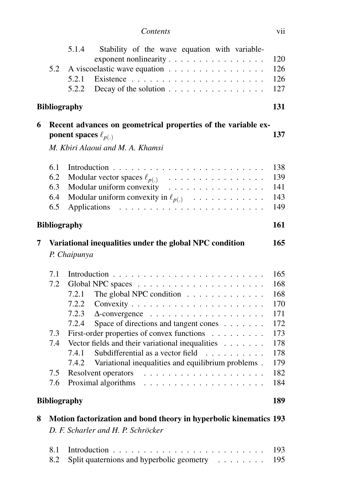| Contents | V11 |
|----------|-----|
|          |     |

|   |                     | 5.1.4<br>Stability of the wave equation with variable-                                         | 120        |
|---|---------------------|------------------------------------------------------------------------------------------------|------------|
|   | 5.2                 | A viscoelastic wave equation                                                                   | 126        |
|   |                     | 5.2.1                                                                                          | 126        |
|   |                     | 5.2.2<br>Decay of the solution                                                                 | 127        |
|   | <b>Bibliography</b> |                                                                                                | 131        |
| 6 |                     | Recent advances on geometrical properties of the variable ex-                                  |            |
|   |                     | ponent spaces $\ell_{p(.)}$<br>M. Kbiri Alaoui and M. A. Khamsi                                | 137        |
|   |                     |                                                                                                |            |
|   | 6.1                 | Introduction                                                                                   | 138        |
|   | 6.2                 | Modular vector spaces $\ell_{p(.)}$                                                            | 139        |
|   | 6.3                 | Modular uniform convexity                                                                      | 141        |
|   | 6.4                 | Modular uniform convexity in $\ell_{p(.)}$                                                     | 143        |
|   | 6.5                 |                                                                                                | 149        |
|   | <b>Bibliography</b> |                                                                                                | 161        |
| 7 |                     | Variational inequalities under the global NPC condition                                        | 165        |
|   |                     | P. Chaipunya                                                                                   |            |
|   | 7.1                 |                                                                                                | 165        |
|   | 7.2                 |                                                                                                | 168        |
|   |                     | The global NPC condition<br>7.2.1                                                              | 168        |
|   |                     | 7.2.2                                                                                          | 170        |
|   |                     | 7.2.3                                                                                          | 171        |
|   | 7.3                 | 7.2.4<br>Space of directions and tangent cones                                                 | 172<br>173 |
|   | 7.4                 | First-order properties of convex functions<br>Vector fields and their variational inequalities | 178        |
|   |                     | 7.4.1<br>Subdifferential as a vector field                                                     | 178        |
|   |                     | Variational inequalities and equilibrium problems.<br>7.4.2                                    | 179        |
|   | 7.5                 |                                                                                                | 182        |
|   | 7.6                 | Proximal algorithms                                                                            | 184        |
|   | <b>Bibliography</b> |                                                                                                | 189        |
| 8 |                     | Motion factorization and bond theory in hyperbolic kinematics 193                              |            |
|   |                     | D. F. Scharler and H. P. Schröcker                                                             |            |
|   | 8.1                 | Introduction                                                                                   | 193        |
|   | 8.2                 | Split quaternions and hyperbolic geometry                                                      | 195        |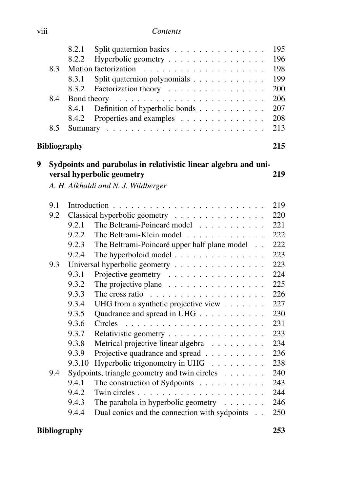| .<br><b>V111</b> | Contents |
|------------------|----------|
|                  |          |

|   |                     | 8.2.1       | Split quaternion basics                                                                                                                                                                                                                                                                                                                                                                                                                                                             | 195 |
|---|---------------------|-------------|-------------------------------------------------------------------------------------------------------------------------------------------------------------------------------------------------------------------------------------------------------------------------------------------------------------------------------------------------------------------------------------------------------------------------------------------------------------------------------------|-----|
|   |                     | 8.2.2       | Hyperbolic geometry                                                                                                                                                                                                                                                                                                                                                                                                                                                                 | 196 |
|   | 8.3                 |             | Motion factorization<br>$\mathcal{L}(\mathcal{L}(\mathcal{L},\mathcal{L},\mathcal{L},\mathcal{L},\mathcal{L},\mathcal{L},\mathcal{L},\mathcal{L},\mathcal{L},\mathcal{L},\mathcal{L},\mathcal{L},\mathcal{L},\mathcal{L},\mathcal{L},\mathcal{L},\mathcal{L},\mathcal{L},\mathcal{L},\mathcal{L},\mathcal{L},\mathcal{L},\mathcal{L},\mathcal{L},\mathcal{L},\mathcal{L},\mathcal{L},\mathcal{L},\mathcal{L},\mathcal{L},\mathcal{L},\mathcal{L},\mathcal{L},\mathcal{L},\mathcal{$ | 198 |
|   |                     | 8.3.1       | Split quaternion polynomials                                                                                                                                                                                                                                                                                                                                                                                                                                                        | 199 |
|   |                     | 8.3.2       | Factorization theory                                                                                                                                                                                                                                                                                                                                                                                                                                                                | 200 |
|   | 8.4                 | Bond theory |                                                                                                                                                                                                                                                                                                                                                                                                                                                                                     | 206 |
|   |                     | 8.4.1       | Definition of hyperbolic bonds                                                                                                                                                                                                                                                                                                                                                                                                                                                      | 207 |
|   |                     | 8.4.2       | Properties and examples                                                                                                                                                                                                                                                                                                                                                                                                                                                             | 208 |
|   | 8.5                 |             |                                                                                                                                                                                                                                                                                                                                                                                                                                                                                     | 213 |
|   | <b>Bibliography</b> |             |                                                                                                                                                                                                                                                                                                                                                                                                                                                                                     | 215 |
| 9 |                     |             | Sydpoints and parabolas in relativistic linear algebra and uni-                                                                                                                                                                                                                                                                                                                                                                                                                     |     |
|   |                     |             | versal hyperbolic geometry                                                                                                                                                                                                                                                                                                                                                                                                                                                          | 219 |
|   |                     |             | A. H. Alkhaldi and N. J. Wildberger                                                                                                                                                                                                                                                                                                                                                                                                                                                 |     |
|   | 9.1                 |             |                                                                                                                                                                                                                                                                                                                                                                                                                                                                                     | 219 |
|   | 9.2                 |             | Classical hyperbolic geometry                                                                                                                                                                                                                                                                                                                                                                                                                                                       | 220 |
|   |                     | 9.2.1       | The Beltrami-Poincaré model                                                                                                                                                                                                                                                                                                                                                                                                                                                         | 221 |
|   |                     | 9.2.2       | The Beltrami-Klein model<br>$\mathcal{A}$ . The set of the set of the set of the set of the set of the set of the set of the set of the set of the set of the set of the set of the set of the set of the set of the set of the set of the set of the set of t                                                                                                                                                                                                                      | 222 |
|   |                     | 9.2.3       | The Beltrami-Poincaré upper half plane model                                                                                                                                                                                                                                                                                                                                                                                                                                        | 222 |
|   |                     | 9.2.4       | The hyperboloid model                                                                                                                                                                                                                                                                                                                                                                                                                                                               | 223 |
|   | 9.3                 |             | Universal hyperbolic geometry                                                                                                                                                                                                                                                                                                                                                                                                                                                       | 223 |
|   |                     | 9.3.1       | Projective geometry                                                                                                                                                                                                                                                                                                                                                                                                                                                                 | 224 |
|   |                     | 9.3.2       | The projective plane $\ldots \ldots \ldots \ldots \ldots$                                                                                                                                                                                                                                                                                                                                                                                                                           | 225 |
|   |                     | 9.3.3       | The cross ratio $\ldots \ldots \ldots \ldots \ldots \ldots$                                                                                                                                                                                                                                                                                                                                                                                                                         | 226 |
|   |                     | 9.3.4       | UHG from a synthetic projective view                                                                                                                                                                                                                                                                                                                                                                                                                                                | 227 |
|   |                     | 9.3.5       | Quadrance and spread in UHG                                                                                                                                                                                                                                                                                                                                                                                                                                                         | 230 |
|   |                     | 9.3.6       | Circles                                                                                                                                                                                                                                                                                                                                                                                                                                                                             | 231 |
|   |                     | 9.3.7       | Relativistic geometry                                                                                                                                                                                                                                                                                                                                                                                                                                                               | 233 |
|   |                     | 9.3.8       | Metrical projective linear algebra                                                                                                                                                                                                                                                                                                                                                                                                                                                  | 234 |
|   |                     | 9.3.9       | Projective quadrance and spread                                                                                                                                                                                                                                                                                                                                                                                                                                                     | 236 |
|   |                     | 9.3.10      | Hyperbolic trigonometry in UHG                                                                                                                                                                                                                                                                                                                                                                                                                                                      | 238 |
|   | 9.4                 |             | Sydpoints, triangle geometry and twin circles                                                                                                                                                                                                                                                                                                                                                                                                                                       | 240 |
|   |                     | 9.4.1       | The construction of Sydpoints                                                                                                                                                                                                                                                                                                                                                                                                                                                       | 243 |
|   |                     | 9.4.2       |                                                                                                                                                                                                                                                                                                                                                                                                                                                                                     | 244 |
|   |                     | 9.4.3       | The parabola in hyperbolic geometry $\dots \dots$                                                                                                                                                                                                                                                                                                                                                                                                                                   | 246 |
|   |                     | 9.4.4       | Dual conics and the connection with sydpoints                                                                                                                                                                                                                                                                                                                                                                                                                                       | 250 |
|   |                     |             |                                                                                                                                                                                                                                                                                                                                                                                                                                                                                     |     |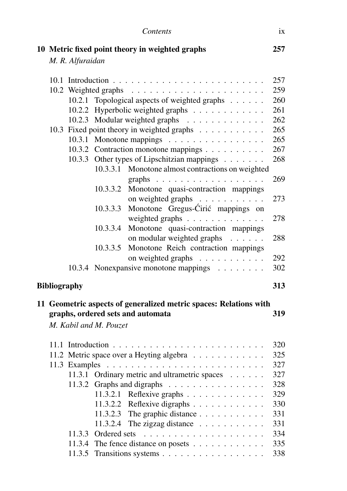|                     |                  |                        | Contents                                                                                                                                                                                                                                                                                                                                                                                                                                                    | 1X  |
|---------------------|------------------|------------------------|-------------------------------------------------------------------------------------------------------------------------------------------------------------------------------------------------------------------------------------------------------------------------------------------------------------------------------------------------------------------------------------------------------------------------------------------------------------|-----|
|                     | M. R. Alfuraidan |                        | 10 Metric fixed point theory in weighted graphs                                                                                                                                                                                                                                                                                                                                                                                                             | 257 |
|                     |                  |                        |                                                                                                                                                                                                                                                                                                                                                                                                                                                             | 257 |
|                     |                  |                        |                                                                                                                                                                                                                                                                                                                                                                                                                                                             | 259 |
|                     | 10.2.1           |                        | Topological aspects of weighted graphs                                                                                                                                                                                                                                                                                                                                                                                                                      | 260 |
|                     |                  |                        | 10.2.2 Hyperbolic weighted graphs                                                                                                                                                                                                                                                                                                                                                                                                                           | 261 |
|                     |                  |                        | 10.2.3 Modular weighted graphs                                                                                                                                                                                                                                                                                                                                                                                                                              | 262 |
|                     |                  |                        | 10.3 Fixed point theory in weighted graphs                                                                                                                                                                                                                                                                                                                                                                                                                  | 265 |
|                     |                  |                        | 10.3.1 Monotone mappings                                                                                                                                                                                                                                                                                                                                                                                                                                    | 265 |
|                     |                  |                        | 10.3.2 Contraction monotone mappings                                                                                                                                                                                                                                                                                                                                                                                                                        | 267 |
|                     |                  |                        | 10.3.3 Other types of Lipschitzian mappings                                                                                                                                                                                                                                                                                                                                                                                                                 | 268 |
|                     |                  |                        | 10.3.3.1 Monotone almost contractions on weighted                                                                                                                                                                                                                                                                                                                                                                                                           |     |
|                     |                  |                        | graphs $\ldots \ldots \ldots \ldots \ldots$                                                                                                                                                                                                                                                                                                                                                                                                                 | 269 |
|                     |                  |                        | 10.3.3.2 Monotone quasi-contraction mappings                                                                                                                                                                                                                                                                                                                                                                                                                |     |
|                     |                  |                        | on weighted graphs                                                                                                                                                                                                                                                                                                                                                                                                                                          | 273 |
|                     |                  | 10.3.3.3               | Monotone Gregus-Ćirić mappings on                                                                                                                                                                                                                                                                                                                                                                                                                           |     |
|                     |                  |                        | weighted graphs                                                                                                                                                                                                                                                                                                                                                                                                                                             | 278 |
|                     |                  | 10.3.3.4               | Monotone quasi-contraction mappings                                                                                                                                                                                                                                                                                                                                                                                                                         |     |
|                     |                  |                        | on modular weighted graphs                                                                                                                                                                                                                                                                                                                                                                                                                                  | 288 |
|                     |                  | 10.3.3.5               | Monotone Reich contraction mappings                                                                                                                                                                                                                                                                                                                                                                                                                         |     |
|                     |                  |                        | on weighted graphs                                                                                                                                                                                                                                                                                                                                                                                                                                          | 292 |
|                     |                  |                        | 10.3.4 Nonexpansive monotone mappings                                                                                                                                                                                                                                                                                                                                                                                                                       | 302 |
| <b>Bibliography</b> |                  |                        |                                                                                                                                                                                                                                                                                                                                                                                                                                                             | 313 |
|                     |                  | M. Kabil and M. Pouzet | 11 Geometric aspects of generalized metric spaces: Relations with<br>graphs, ordered sets and automata                                                                                                                                                                                                                                                                                                                                                      | 319 |
|                     |                  |                        |                                                                                                                                                                                                                                                                                                                                                                                                                                                             | 320 |
|                     |                  |                        | 11.2 Metric space over a Heyting algebra                                                                                                                                                                                                                                                                                                                                                                                                                    | 325 |
|                     |                  |                        |                                                                                                                                                                                                                                                                                                                                                                                                                                                             | 327 |
|                     |                  |                        | 11.3.1 Ordinary metric and ultrametric spaces                                                                                                                                                                                                                                                                                                                                                                                                               | 327 |
|                     |                  |                        | 11.3.2 Graphs and digraphs                                                                                                                                                                                                                                                                                                                                                                                                                                  | 328 |
|                     |                  |                        | 11.3.2.1 Reflexive graphs $\dots \dots \dots \dots$                                                                                                                                                                                                                                                                                                                                                                                                         | 329 |
|                     |                  | 11.3.2.2               | Reflexive digraphs                                                                                                                                                                                                                                                                                                                                                                                                                                          | 330 |
|                     |                  | 11.3.2.3               | The graphic distance                                                                                                                                                                                                                                                                                                                                                                                                                                        | 331 |
|                     |                  | 11.3.2.4               | The zigzag distance $\ldots \ldots \ldots$                                                                                                                                                                                                                                                                                                                                                                                                                  | 331 |
|                     | 11.3.3           | Ordered sets           | $\mathcal{L}(\mathcal{L}(\mathcal{L},\mathcal{L},\mathcal{L},\mathcal{L},\mathcal{L},\mathcal{L},\mathcal{L},\mathcal{L},\mathcal{L},\mathcal{L},\mathcal{L},\mathcal{L},\mathcal{L},\mathcal{L},\mathcal{L},\mathcal{L},\mathcal{L},\mathcal{L},\mathcal{L},\mathcal{L},\mathcal{L},\mathcal{L},\mathcal{L},\mathcal{L},\mathcal{L},\mathcal{L},\mathcal{L},\mathcal{L},\mathcal{L},\mathcal{L},\mathcal{L},\mathcal{L},\mathcal{L},\mathcal{L},\mathcal{$ | 334 |
|                     | 11.3.4           |                        | The fence distance on posets                                                                                                                                                                                                                                                                                                                                                                                                                                | 335 |
|                     | 11.3.5           |                        | Transitions systems                                                                                                                                                                                                                                                                                                                                                                                                                                         | 338 |
|                     |                  |                        |                                                                                                                                                                                                                                                                                                                                                                                                                                                             |     |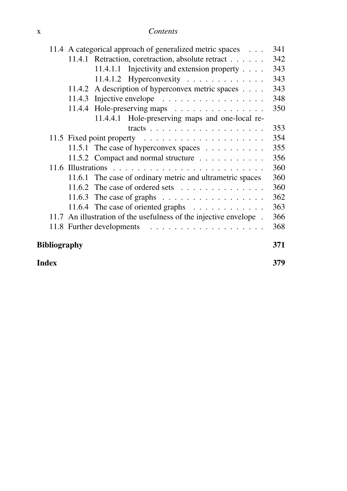|              |     | 11.4 A categorical approach of generalized metric spaces              | 341 |  |
|--------------|-----|-----------------------------------------------------------------------|-----|--|
|              |     | 11.4.1 Retraction, coretraction, absolute retract                     | 342 |  |
|              |     | 11.4.1.1 Injectivity and extension property                           | 343 |  |
|              |     | 11.4.1.2 Hyperconvexity                                               | 343 |  |
|              |     | 11.4.2 A description of hyperconvex metric spaces                     | 343 |  |
|              |     | 11.4.3 Injective envelope $\ldots \ldots \ldots \ldots \ldots$        | 348 |  |
|              |     | 11.4.4 Hole-preserving maps                                           | 350 |  |
|              |     | 11.4.4.1 Hole-preserving maps and one-local re-                       |     |  |
|              |     |                                                                       | 353 |  |
|              |     | 11.5 Fixed point property $\dots \dots \dots \dots \dots \dots \dots$ | 354 |  |
|              |     | 11.5.1 The case of hyperconvex spaces                                 | 355 |  |
|              |     | 11.5.2 Compact and normal structure                                   | 356 |  |
|              |     |                                                                       | 360 |  |
|              |     | 11.6.1 The case of ordinary metric and ultrametric spaces             | 360 |  |
|              |     | 11.6.2 The case of ordered sets $\dots \dots \dots \dots \dots$       | 360 |  |
|              |     | 11.6.3 The case of graphs $\ldots \ldots \ldots \ldots \ldots$        | 362 |  |
|              |     | 11.6.4 The case of oriented graphs $\dots \dots \dots \dots$          | 363 |  |
|              |     | 11.7 An illustration of the usefulness of the injective envelope.     | 366 |  |
|              |     |                                                                       | 368 |  |
| Bibliography |     |                                                                       | 371 |  |
| Index        | 379 |                                                                       |     |  |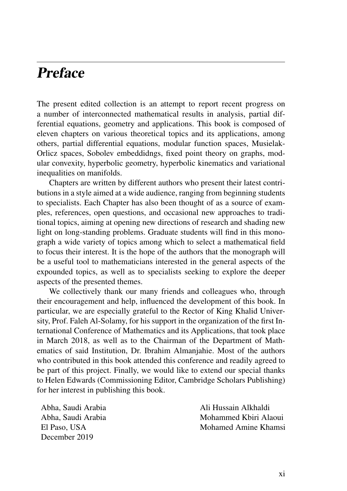# **Preface**

The present edited collection is an attempt to report recent progress on a number of interconnected mathematical results in analysis, partial differential equations, geometry and applications. This book is composed of eleven chapters on various theoretical topics and its applications, among others, partial differential equations, modular function spaces, Musielak-Orlicz spaces, Sobolev embeddidngs, fixed point theory on graphs, modular convexity, hyperbolic geometry, hyperbolic kinematics and variational inequalities on manifolds.

Chapters are written by different authors who present their latest contributions in a style aimed at a wide audience, ranging from beginning students to specialists. Each Chapter has also been thought of as a source of examples, references, open questions, and occasional new approaches to traditional topics, aiming at opening new directions of research and shading new light on long-standing problems. Graduate students will find in this monograph a wide variety of topics among which to select a mathematical field to focus their interest. It is the hope of the authors that the monograph will be a useful tool to mathematicians interested in the general aspects of the expounded topics, as well as to specialists seeking to explore the deeper aspects of the presented themes.

We collectively thank our many friends and colleagues who, through their encouragement and help, influenced the development of this book. In particular, we are especially grateful to the Rector of King Khalid University, Prof. Faleh Al-Solamy, for his support in the organization of the first International Conference of Mathematics and its Applications, that took place in March 2018, as well as to the Chairman of the Department of Mathematics of said Institution, Dr. Ibrahim Almanjahie. Most of the authors who contributed in this book attended this conference and readily agreed to be part of this project. Finally, we would like to extend our special thanks to Helen Edwards (Commissioning Editor, Cambridge Scholars Publishing) for her interest in publishing this book.

| Abha. Saudi Arabia | Ali Hussain Alkhaldi  |
|--------------------|-----------------------|
| Abha. Saudi Arabia | Mohammed Kbiri Alaoui |
| El Paso. USA       | Mohamed Amine Khamsi  |
| December 2019      |                       |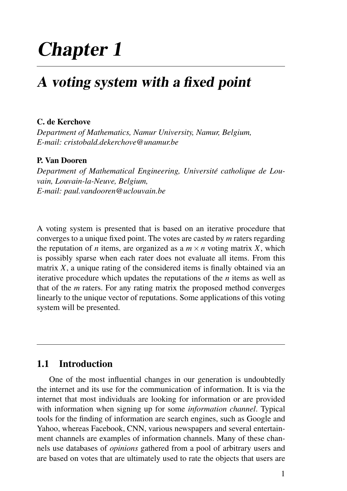# Chapter 1

# A voting system with a fixed point

#### C. de Kerchove

*Department of Mathematics, Namur University, Namur, Belgium, E-mail: cristobald.dekerchove@unamur.be*

### P. Van Dooren

*Department of Mathematical Engineering, Universite catholique de Lou- ´ vain, Louvain-la-Neuve, Belgium, E-mail: paul.vandooren@uclouvain.be*

A voting system is presented that is based on an iterative procedure that converges to a unique fixed point. The votes are casted by *m* raters regarding the reputation of *n* items, are organized as a  $m \times n$  voting matrix X, which is possibly sparse when each rater does not evaluate all items. From this matrix *X*, a unique rating of the considered items is finally obtained via an iterative procedure which updates the reputations of the *n* items as well as that of the *m* raters. For any rating matrix the proposed method converges linearly to the unique vector of reputations. Some applications of this voting system will be presented.

## 1.1 Introduction

One of the most influential changes in our generation is undoubtedly the internet and its use for the communication of information. It is via the internet that most individuals are looking for information or are provided with information when signing up for some *information channel*. Typical tools for the finding of information are search engines, such as Google and Yahoo, whereas Facebook, CNN, various newspapers and several entertainment channels are examples of information channels. Many of these channels use databases of *opinions* gathered from a pool of arbitrary users and are based on votes that are ultimately used to rate the objects that users are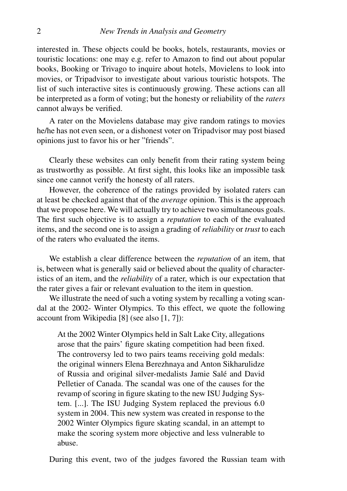interested in. These objects could be books, hotels, restaurants, movies or touristic locations: one may e.g. refer to Amazon to find out about popular books, Booking or Trivago to inquire about hotels, Movielens to look into movies, or Tripadvisor to investigate about various touristic hotspots. The list of such interactive sites is continuously growing. These actions can all be interpreted as a form of voting; but the honesty or reliability of the *raters* cannot always be verified.

A rater on the Movielens database may give random ratings to movies he/he has not even seen, or a dishonest voter on Tripadvisor may post biased opinions just to favor his or her "friends".

Clearly these websites can only benefit from their rating system being as trustworthy as possible. At first sight, this looks like an impossible task since one cannot verify the honesty of all raters.

However, the coherence of the ratings provided by isolated raters can at least be checked against that of the *average* opinion. This is the approach that we propose here. We will actually try to achieve two simultaneous goals. The first such objective is to assign a *reputation* to each of the evaluated items, and the second one is to assign a grading of *reliability* or *trust* to each of the raters who evaluated the items.

We establish a clear difference between the *reputation* of an item, that is, between what is generally said or believed about the quality of characteristics of an item, and the *reliability* of a rater, which is our expectation that the rater gives a fair or relevant evaluation to the item in question.

We illustrate the need of such a voting system by recalling a voting scandal at the 2002- Winter Olympics. To this effect, we quote the following account from Wikipedia [8] (see also [1, 7]):

At the 2002 Winter Olympics held in Salt Lake City, allegations arose that the pairs' figure skating competition had been fixed. The controversy led to two pairs teams receiving gold medals: the original winners Elena Berezhnaya and Anton Sikharulidze of Russia and original silver-medalists Jamie Sale and David ´ Pelletier of Canada. The scandal was one of the causes for the revamp of scoring in figure skating to the new ISU Judging System. [...]. The ISU Judging System replaced the previous 6.0 system in 2004. This new system was created in response to the 2002 Winter Olympics figure skating scandal, in an attempt to make the scoring system more objective and less vulnerable to abuse.

During this event, two of the judges favored the Russian team with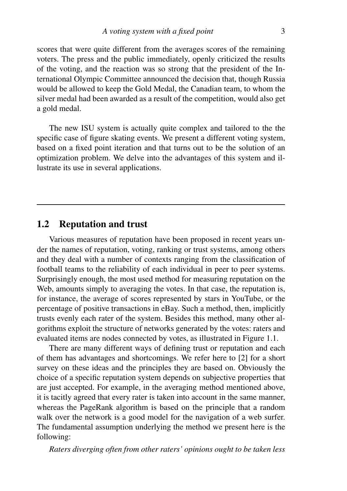scores that were quite different from the averages scores of the remaining voters. The press and the public immediately, openly criticized the results of the voting, and the reaction was so strong that the president of the International Olympic Committee announced the decision that, though Russia would be allowed to keep the Gold Medal, the Canadian team, to whom the silver medal had been awarded as a result of the competition, would also get a gold medal.

The new ISU system is actually quite complex and tailored to the the specific case of figure skating events. We present a different voting system, based on a fixed point iteration and that turns out to be the solution of an optimization problem. We delve into the advantages of this system and illustrate its use in several applications.

## 1.2 Reputation and trust

Various measures of reputation have been proposed in recent years under the names of reputation, voting, ranking or trust systems, among others and they deal with a number of contexts ranging from the classification of football teams to the reliability of each individual in peer to peer systems. Surprisingly enough, the most used method for measuring reputation on the Web, amounts simply to averaging the votes. In that case, the reputation is, for instance, the average of scores represented by stars in YouTube, or the percentage of positive transactions in eBay. Such a method, then, implicitly trusts evenly each rater of the system. Besides this method, many other algorithms exploit the structure of networks generated by the votes: raters and evaluated items are nodes connected by votes, as illustrated in Figure 1.1.

There are many different ways of defining trust or reputation and each of them has advantages and shortcomings. We refer here to [2] for a short survey on these ideas and the principles they are based on. Obviously the choice of a specific reputation system depends on subjective properties that are just accepted. For example, in the averaging method mentioned above, it is tacitly agreed that every rater is taken into account in the same manner, whereas the PageRank algorithm is based on the principle that a random walk over the network is a good model for the navigation of a web surfer. The fundamental assumption underlying the method we present here is the following:

*Raters diverging often from other raters' opinions ought to be taken less*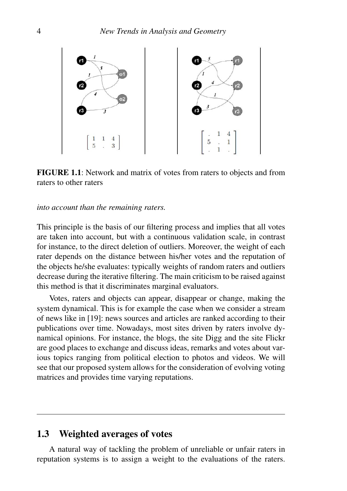

FIGURE 1.1: Network and matrix of votes from raters to objects and from raters to other raters

#### *into account than the remaining raters.*

This principle is the basis of our filtering process and implies that all votes are taken into account, but with a continuous validation scale, in contrast for instance, to the direct deletion of outliers. Moreover, the weight of each rater depends on the distance between his/her votes and the reputation of the objects he/she evaluates: typically weights of random raters and outliers decrease during the iterative filtering. The main criticism to be raised against this method is that it discriminates marginal evaluators.

Votes, raters and objects can appear, disappear or change, making the system dynamical. This is for example the case when we consider a stream of news like in [19]: news sources and articles are ranked according to their publications over time. Nowadays, most sites driven by raters involve dynamical opinions. For instance, the blogs, the site Digg and the site Flickr are good places to exchange and discuss ideas, remarks and votes about various topics ranging from political election to photos and videos. We will see that our proposed system allows for the consideration of evolving voting matrices and provides time varying reputations.

## 1.3 Weighted averages of votes

A natural way of tackling the problem of unreliable or unfair raters in reputation systems is to assign a weight to the evaluations of the raters.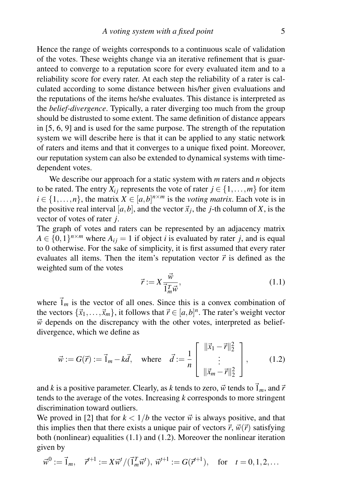Hence the range of weights corresponds to a continuous scale of validation of the votes. These weights change via an iterative refinement that is guaranteed to converge to a reputation score for every evaluated item and to a reliability score for every rater. At each step the reliability of a rater is calculated according to some distance between his/her given evaluations and the reputations of the items he/she evaluates. This distance is interpreted as the *belief-divergence*. Typically, a rater diverging too much from the group should be distrusted to some extent. The same definition of distance appears in [5, 6, 9] and is used for the same purpose. The strength of the reputation system we will describe here is that it can be applied to any static network of raters and items and that it converges to a unique fixed point. Moreover, our reputation system can also be extended to dynamical systems with timedependent votes.

We describe our approach for a static system with *m* raters and *n* objects to be rated. The entry  $X_i$  represents the vote of rater  $j \in \{1, \ldots, m\}$  for item  $i \in \{1, \ldots, n\}$ , the matrix  $X \in [a, b]^{n \times m}$  is the *voting matrix*. Each vote is in the positive real interval  $[a, b]$ , and the vector  $\vec{x}_j$ , the *j*-th column of *X*, is the vector of votes of rater *j*.

The graph of votes and raters can be represented by an adjacency matrix  $A \in \{0,1\}^{n \times m}$  where  $A_{ij} = 1$  if object *i* is evaluated by rater *j*, and is equal to 0 otherwise. For the sake of simplicity, it is first assumed that every rater evaluates all items. Then the item's reputation vector  $\vec{r}$  is defined as the weighted sum of the votes

$$
\vec{r} := X \frac{\vec{w}}{\vec{1}_m^T \vec{w}},\tag{1.1}
$$

where  $\vec{1}_m$  is the vector of all ones. Since this is a convex combination of the vectors  $\{\vec{x}_1, \dots, \vec{x}_m\}$ , it follows that  $\vec{r} \in [a, b]^n$ . The rater's weight vector  $\vec{w}$  depends on the discrepancy with the other votes, interpreted as beliefdivergence, which we define as

$$
\vec{w} := G(\vec{r}) := \vec{1}_m - k\vec{d}, \text{ where } \vec{d} := \frac{1}{n} \begin{bmatrix} ||\vec{x}_1 - \vec{r}||_2^2 \\ \vdots \\ ||\vec{x}_m - \vec{r}||_2^2 \end{bmatrix}, \quad (1.2)
$$

and *k* is a positive parameter. Clearly, as *k* tends to zero,  $\vec{w}$  tends to  $\vec{1}_m$ , and  $\vec{r}$ tends to the average of the votes. Increasing *k* corresponds to more stringent discrimination toward outliers.

We proved in [2] that for  $k < 1/b$  the vector  $\vec{w}$  is always positive, and that this implies then that there exists a unique pair of vectors  $\vec{r}$ ,  $\vec{w}(\vec{r})$  satisfying both (nonlinear) equalities (1.1) and (1.2). Moreover the nonlinear iteration given by

$$
\vec{w}^0 := \vec{1}_m, \quad \vec{r}^{t+1} := X\vec{w}^t / (\vec{1}_m^T \vec{w}^t), \ \vec{w}^{t+1} := G(\vec{r}^{t+1}), \quad \text{for} \quad t = 0, 1, 2, \dots
$$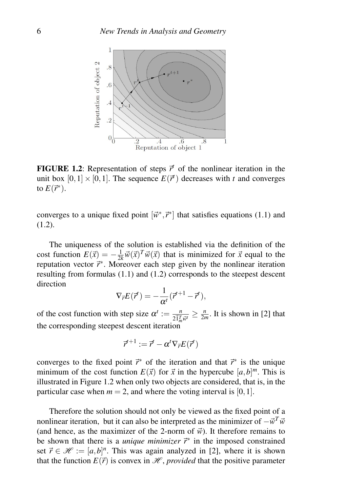

**FIGURE 1.2:** Representation of steps  $\vec{r}$  of the nonlinear iteration in the unit box  $[0,1] \times [0,1]$ . The sequence  $E(\vec{r}^t)$  decreases with *t* and converges to  $E(\vec{r}^*)$ .

converges to a unique fixed point  $[\vec{w}^*, \vec{r}^*]$  that satisfies equations (1.1) and (1.2).

The uniqueness of the solution is established via the definition of the cost function  $E(\vec{x}) = -\frac{1}{2k}\vec{w}(\vec{x})^T\vec{w}(\vec{x})$  that is minimized for  $\vec{x}$  equal to the reputation vector  $\vec{r}^*$ . Moreover each step given by the nonlinear iteration resulting from formulas (1.1) and (1.2) corresponds to the steepest descent direction

$$
\nabla_{\vec{r}} E(\vec{r}^t) = -\frac{1}{\alpha^t} (\vec{r}^{t+1} - \vec{r}^t),
$$

of the cost function with step size  $\alpha^t := \frac{n}{2\overline{l}_m^T\vec{w}^t} \ge \frac{n}{2m}$ . It is shown in [2] that the corresponding steepest descent iteration

$$
\vec{r}^{t+1} := \vec{r}^t - \alpha^t \nabla_{\vec{r}} E(\vec{r}^t)
$$

converges to the fixed point  $\vec{r}$ <sup>\*</sup> of the iteration and that  $\vec{r}$ <sup>\*</sup> is the unique minimum of the cost function  $E(\vec{x})$  for  $\vec{x}$  in the hypercube  $[a,b]^m$ . This is illustrated in Figure 1.2 when only two objects are considered, that is, in the particular case when  $m = 2$ , and where the voting interval is [0, 1].

Therefore the solution should not only be viewed as the fixed point of a nonlinear iteration, but it can also be interpreted as the minimizer of  $-\vec{w}^T\vec{w}$ (and hence, as the maximizer of the 2-norm of  $\vec{w}$ ). It therefore remains to be shown that there is a *unique minimizer*  $\vec{r}^*$  in the imposed constrained set  $\vec{r} \in \mathcal{H} := [a, b]^n$ . This was again analyzed in [2], where it is shown that the function  $E(\vec{r})$  is convex in  $\mathcal{H}$ , *provided* that the positive parameter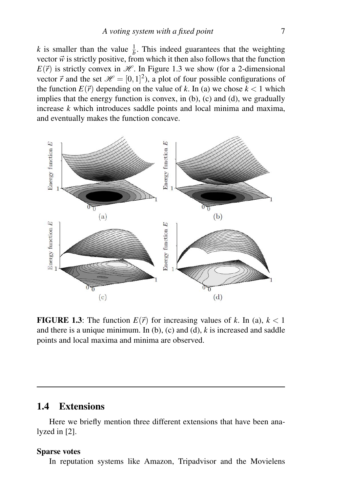*k* is smaller than the value  $\frac{1}{b}$ . This indeed guarantees that the weighting vector  $\vec{w}$  is strictly positive, from which it then also follows that the function  $E(\vec{r})$  is strictly convex in  $\mathcal{H}$ . In Figure 1.3 we show (for a 2-dimensional vector  $\vec{r}$  and the set  $\mathcal{H} = [0,1]^2$ ), a plot of four possible configurations of the function  $E(\vec{r})$  depending on the value of k. In (a) we chose  $k < 1$  which implies that the energy function is convex, in (b), (c) and (d), we gradually increase *k* which introduces saddle points and local minima and maxima, and eventually makes the function concave.



**FIGURE 1.3:** The function  $E(\vec{r})$  for increasing values of *k*. In (a),  $k < 1$ and there is a unique minimum. In  $(b)$ ,  $(c)$  and  $(d)$ ,  $k$  is increased and saddle points and local maxima and minima are observed.

## 1.4 Extensions

Here we briefly mention three different extensions that have been analyzed in [2].

#### Sparse votes

In reputation systems like Amazon, Tripadvisor and the Movielens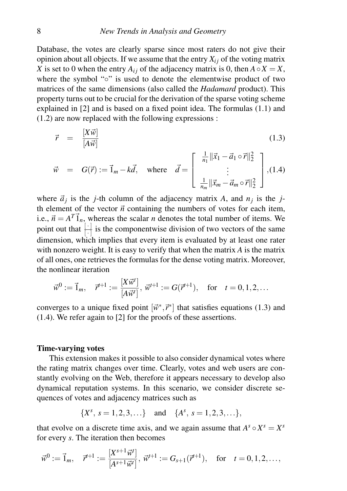Database, the votes are clearly sparse since most raters do not give their opinion about all objects. If we assume that the entry  $X_i$  of the voting matrix *X* is set to 0 when the entry  $A_{ij}$  of the adjacency matrix is 0, then  $A \circ X = X$ , where the symbol "∘" is used to denote the elementwise product of two matrices of the same dimensions (also called the *Hadamard* product). This property turns out to be crucial for the derivation of the sparse voting scheme explained in [2] and is based on a fixed point idea. The formulas (1.1) and (1.2) are now replaced with the following expressions :

$$
\vec{r} = \frac{[X\vec{w}]}{[A\vec{w}]} \qquad (1.3)
$$
\n
$$
\vec{w} = G(\vec{r}) := \vec{1}_m - k\vec{d}, \text{ where } \vec{d} = \begin{bmatrix} \frac{1}{n_1} ||\vec{x}_1 - \vec{a}_1 \circ \vec{r}||_2^2 \\ \vdots \\ \frac{1}{n_m} ||\vec{x}_m - \vec{a}_m \circ \vec{r}||_2^2 \end{bmatrix}, (1.4)
$$

where  $\vec{a}_j$  is the *j*-th column of the adjacency matrix *A*, and  $n_j$  is the *j*th element of the vector  $\vec{n}$  containing the numbers of votes for each item, i.e.,  $\vec{n} = A^T \vec{1}_n$ , whereas the scalar *n* denotes the total number of items. We point out that  $\boxed{\cdot}$  is the componentwise division of two vectors of the same dimension, which implies that every item is evaluated by at least one rater with nonzero weight. It is easy to verify that when the matrix *A* is the matrix of all ones, one retrieves the formulas for the dense voting matrix. Moreover, the nonlinear iteration

$$
\vec{w}^0 := \vec{1}_m, \quad \vec{r}^{t+1} := \frac{[X\vec{w}^t]}{[A\vec{w}^t]}, \ \vec{w}^{t+1} := G(\vec{r}^{t+1}), \quad \text{for} \quad t = 0, 1, 2, \dots
$$

converges to a unique fixed point  $[\vec{w}^*, \vec{r}^*]$  that satisfies equations (1.3) and (1.4). We refer again to [2] for the proofs of these assertions.

#### Time-varying votes

This extension makes it possible to also consider dynamical votes where the rating matrix changes over time. Clearly, votes and web users are constantly evolving on the Web, therefore it appears necessary to develop also dynamical reputation systems. In this scenario, we consider discrete sequences of votes and adjacency matrices such as

$$
\{X^s, s=1,2,3,\ldots\} \text{ and } \{A^s, s=1,2,3,\ldots\},\
$$

that evolve on a discrete time axis, and we again assume that  $A^s \circ X^s = X^s$ for every *s*. The iteration then becomes

$$
\vec{w}^0 := \vec{1}_m, \quad \vec{r}^{t+1} := \frac{[X^{s+1} \vec{w}^t]}{[A^{s+1} \vec{w}^t]}, \ \vec{w}^{t+1} := G_{s+1}(\vec{r}^{t+1}), \quad \text{for} \quad t = 0, 1, 2, \dots,
$$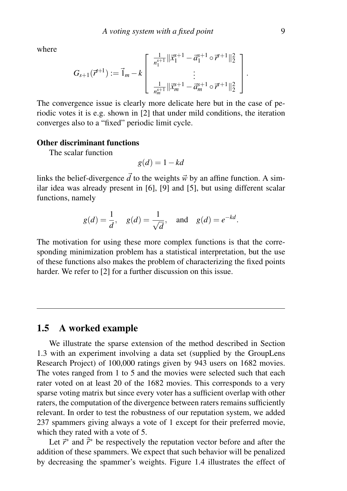where

$$
G_{s+1}(\vec{r}^{t+1}) := \vec{1}_m - k \left[ \begin{array}{c} \frac{1}{n_1^{s+1}} ||\vec{x}_1^{s+1} - \vec{a}_1^{s+1} \circ \vec{r}^{t+1} ||_2^2 \\ \vdots \\ \frac{1}{n_m^{s+1}} ||\vec{x}_m^{s+1} - \vec{a}_m^{s+1} \circ \vec{r}^{t+1} ||_2^2 \end{array} \right]
$$

The convergence issue is clearly more delicate here but in the case of periodic votes it is e.g. shown in [2] that under mild conditions, the iteration converges also to a "fixed" periodic limit cycle.

#### Other discriminant functions

The scalar function

$$
g(d) = 1 - kd
$$

links the belief-divergence  $\vec{d}$  to the weights  $\vec{w}$  by an affine function. A similar idea was already present in [6], [9] and [5], but using different scalar functions, namely

$$
g(d) = \frac{1}{d}
$$
,  $g(d) = \frac{1}{\sqrt{d}}$ , and  $g(d) = e^{-kd}$ .

The motivation for using these more complex functions is that the corresponding minimization problem has a statistical interpretation, but the use of these functions also makes the problem of characterizing the fixed points harder. We refer to [2] for a further discussion on this issue.

### 1.5 A worked example

We illustrate the sparse extension of the method described in Section 1.3 with an experiment involving a data set (supplied by the GroupLens Research Project) of 100,000 ratings given by 943 users on 1682 movies. The votes ranged from 1 to 5 and the movies were selected such that each rater voted on at least 20 of the 1682 movies. This corresponds to a very sparse voting matrix but since every voter has a sufficient overlap with other raters, the computation of the divergence between raters remains sufficiently relevant. In order to test the robustness of our reputation system, we added 237 spammers giving always a vote of 1 except for their preferred movie, which they rated with a vote of 5.

Let  $\vec{r}^*$  and  $\vec{r}^*$  be respectively the reputation vector before and after the addition of these spammers. We expect that such behavior will be penalized by decreasing the spammer's weights. Figure 1.4 illustrates the effect of

.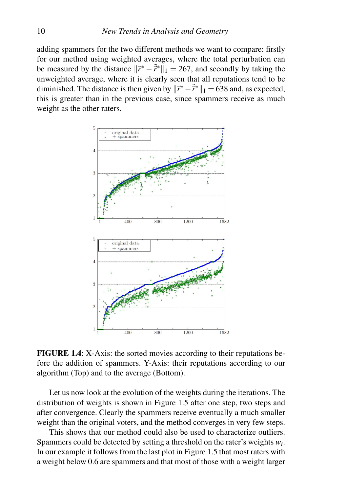adding spammers for the two different methods we want to compare: firstly for our method using weighted averages, where the total perturbation can be measured by the distance  $\|\vec{r}^* - \vec{r}^*\|_1 = 267$ , and secondly by taking the unweighted average, where it is clearly seen that all reputations tend to be diminished. The distance is then given by  $\|\vec{r}^* - \tilde{\vec{r}}^*\|_1 = 638$  and, as expected, this is greater than in the previous case, since spammers receive as much weight as the other raters.



FIGURE 1.4: X-Axis: the sorted movies according to their reputations before the addition of spammers. Y-Axis: their reputations according to our algorithm (Top) and to the average (Bottom).

Let us now look at the evolution of the weights during the iterations. The distribution of weights is shown in Figure 1.5 after one step, two steps and after convergence. Clearly the spammers receive eventually a much smaller weight than the original voters, and the method converges in very few steps.

This shows that our method could also be used to characterize outliers. Spammers could be detected by setting a threshold on the rater's weights  $w_i$ . In our example it follows from the last plot in Figure 1.5 that most raters with a weight below 0.6 are spammers and that most of those with a weight larger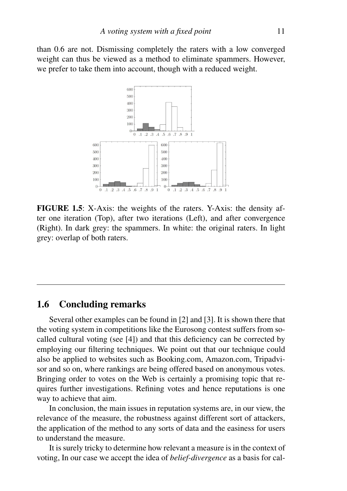than 0.6 are not. Dismissing completely the raters with a low converged weight can thus be viewed as a method to eliminate spammers. However, we prefer to take them into account, though with a reduced weight.



FIGURE 1.5: X-Axis: the weights of the raters. Y-Axis: the density after one iteration (Top), after two iterations (Left), and after convergence (Right). In dark grey: the spammers. In white: the original raters. In light grey: overlap of both raters.

### 1.6 Concluding remarks

Several other examples can be found in [2] and [3]. It is shown there that the voting system in competitions like the Eurosong contest suffers from socalled cultural voting (see [4]) and that this deficiency can be corrected by employing our filtering techniques. We point out that our technique could also be applied to websites such as Booking.com, Amazon.com, Tripadvisor and so on, where rankings are being offered based on anonymous votes. Bringing order to votes on the Web is certainly a promising topic that requires further investigations. Refining votes and hence reputations is one way to achieve that aim.

In conclusion, the main issues in reputation systems are, in our view, the relevance of the measure, the robustness against different sort of attackers, the application of the method to any sorts of data and the easiness for users to understand the measure.

It is surely tricky to determine how relevant a measure is in the context of voting, In our case we accept the idea of *belief-divergence* as a basis for cal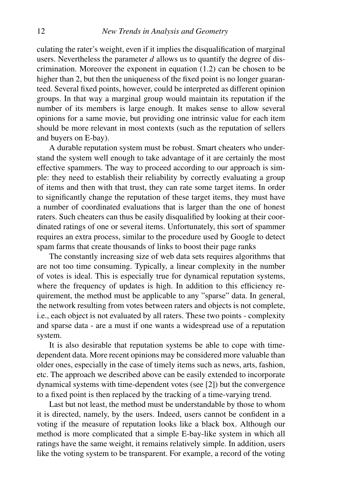culating the rater's weight, even if it implies the disqualification of marginal users. Nevertheless the parameter *d* allows us to quantify the degree of discrimination. Moreover the exponent in equation (1.2) can be chosen to be higher than 2, but then the uniqueness of the fixed point is no longer guaranteed. Several fixed points, however, could be interpreted as different opinion groups. In that way a marginal group would maintain its reputation if the number of its members is large enough. It makes sense to allow several opinions for a same movie, but providing one intrinsic value for each item should be more relevant in most contexts (such as the reputation of sellers and buyers on E-bay).

A durable reputation system must be robust. Smart cheaters who understand the system well enough to take advantage of it are certainly the most effective spammers. The way to proceed according to our approach is simple: they need to establish their reliability by correctly evaluating a group of items and then with that trust, they can rate some target items. In order to significantly change the reputation of these target items, they must have a number of coordinated evaluations that is larger than the one of honest raters. Such cheaters can thus be easily disqualified by looking at their coordinated ratings of one or several items. Unfortunately, this sort of spammer requires an extra process, similar to the procedure used by Google to detect spam farms that create thousands of links to boost their page ranks

The constantly increasing size of web data sets requires algorithms that are not too time consuming. Typically, a linear complexity in the number of votes is ideal. This is especially true for dynamical reputation systems, where the frequency of updates is high. In addition to this efficiency requirement, the method must be applicable to any "sparse" data. In general, the network resulting from votes between raters and objects is not complete, i.e., each object is not evaluated by all raters. These two points - complexity and sparse data - are a must if one wants a widespread use of a reputation system.

It is also desirable that reputation systems be able to cope with timedependent data. More recent opinions may be considered more valuable than older ones, especially in the case of timely items such as news, arts, fashion, etc. The approach we described above can be easily extended to incorporate dynamical systems with time-dependent votes (see [2]) but the convergence to a fixed point is then replaced by the tracking of a time-varying trend.

Last but not least, the method must be understandable by those to whom it is directed, namely, by the users. Indeed, users cannot be confident in a voting if the measure of reputation looks like a black box. Although our method is more complicated that a simple E-bay-like system in which all ratings have the same weight, it remains relatively simple. In addition, users like the voting system to be transparent. For example, a record of the voting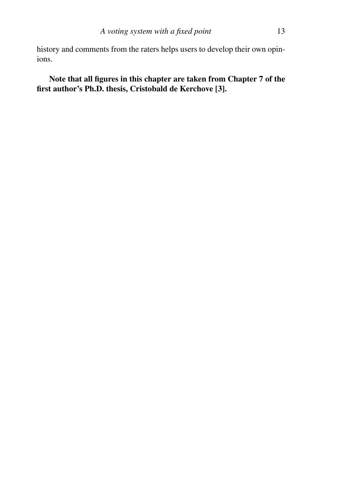history and comments from the raters helps users to develop their own opinions.

Note that all figures in this chapter are taken from Chapter 7 of the first author's Ph.D. thesis, Cristobald de Kerchove [3].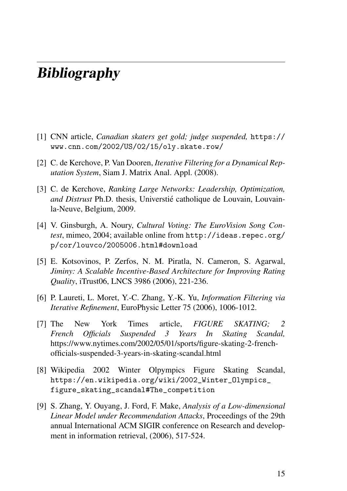# **Bibliography**

- [1] CNN article, *Canadian skaters get gold; judge suspended,* https:// www.cnn.com/2002/US/02/15/oly.skate.row/
- [2] C. de Kerchove, P. Van Dooren, *Iterative Filtering for a Dynamical Reputation System*, Siam J. Matrix Anal. Appl. (2008).
- [3] C. de Kerchove, *Ranking Large Networks: Leadership, Optimization, and Distrust* Ph.D. thesis, Universtie catholique de Louvain, Louvain- ´ la-Neuve, Belgium, 2009.
- [4] V. Ginsburgh, A. Noury, *Cultural Voting: The EuroVision Song Contest*, mimeo, 2004; available online from http://ideas.repec.org/ p/cor/louvco/2005006.html#download
- [5] E. Kotsovinos, P. Zerfos, N. M. Piratla, N. Cameron, S. Agarwal, *Jiminy: A Scalable Incentive-Based Architecture for Improving Rating Quality*, iTrust06, LNCS 3986 (2006), 221-236.
- [6] P. Laureti, L. Moret, Y.-C. Zhang, Y.-K. Yu, *Information Filtering via Iterative Refinement*, EuroPhysic Letter 75 (2006), 1006-1012.
- [7] The New York Times article, *FIGURE SKATING; 2 French Officials Suspended 3 Years In Skating Scandal,* https://www.nytimes.com/2002/05/01/sports/figure-skating-2-frenchofficials-suspended-3-years-in-skating-scandal.html
- [8] Wikipedia 2002 Winter Olpympics Figure Skating Scandal, https://en.wikipedia.org/wiki/2002\_Winter\_Olympics\_ figure\_skating\_scandal#The\_competition
- [9] S. Zhang, Y. Ouyang, J. Ford, F. Make, *Analysis of a Low-dimensional Linear Model under Recommendation Attacks*, Proceedings of the 29th annual International ACM SIGIR conference on Research and development in information retrieval, (2006), 517-524.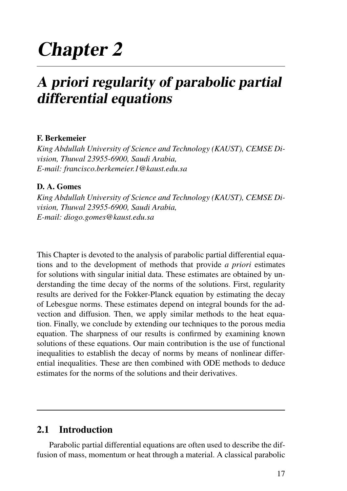# Chapter 2

# A priori regularity of parabolic partial differential equations

## F. Berkemeier

*King Abdullah University of Science and Technology (KAUST), CEMSE Division, Thuwal 23955-6900, Saudi Arabia, E-mail: francisco.berkemeier.1@kaust.edu.sa*

### D. A. Gomes

*King Abdullah University of Science and Technology (KAUST), CEMSE Division, Thuwal 23955-6900, Saudi Arabia, E-mail: diogo.gomes@kaust.edu.sa*

This Chapter is devoted to the analysis of parabolic partial differential equations and to the development of methods that provide *a priori* estimates for solutions with singular initial data. These estimates are obtained by understanding the time decay of the norms of the solutions. First, regularity results are derived for the Fokker-Planck equation by estimating the decay of Lebesgue norms. These estimates depend on integral bounds for the advection and diffusion. Then, we apply similar methods to the heat equation. Finally, we conclude by extending our techniques to the porous media equation. The sharpness of our results is confirmed by examining known solutions of these equations. Our main contribution is the use of functional inequalities to establish the decay of norms by means of nonlinear differential inequalities. These are then combined with ODE methods to deduce estimates for the norms of the solutions and their derivatives.

# 2.1 Introduction

Parabolic partial differential equations are often used to describe the diffusion of mass, momentum or heat through a material. A classical parabolic